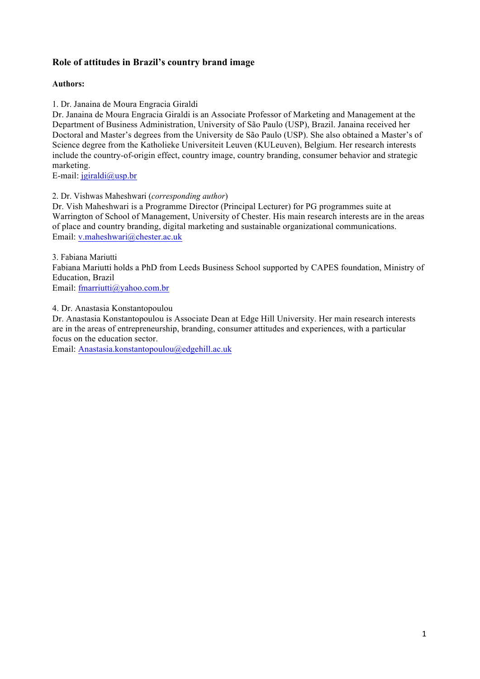## **Role of attitudes in Brazil's country brand image**

## **Authors:**

## 1. Dr. Janaina de Moura Engracia Giraldi

Dr. Janaina de Moura Engracia Giraldi is an Associate Professor of Marketing and Management at the Department of Business Administration, University of São Paulo (USP), Brazil. Janaina received her Doctoral and Master's degrees from the University de São Paulo (USP). She also obtained a Master's of Science degree from the Katholieke Universiteit Leuven (KULeuven), Belgium. Her research interests include the country-of-origin effect, country image, country branding, consumer behavior and strategic marketing.

E-mail:  $j\$ 

## 2. Dr. Vishwas Maheshwari (*corresponding author*)

Dr. Vish Maheshwari is a Programme Director (Principal Lecturer) for PG programmes suite at Warrington of School of Management, University of Chester. His main research interests are in the areas of place and country branding, digital marketing and sustainable organizational communications. Email: v.maheshwari@chester.ac.uk

## 3. Fabiana Mariutti

Fabiana Mariutti holds a PhD from Leeds Business School supported by CAPES foundation, Ministry of Education, Brazil

Email: fmarriutti@yahoo.com.br

## 4. Dr. Anastasia Konstantopoulou

Dr. Anastasia Konstantopoulou is Associate Dean at Edge Hill University. Her main research interests are in the areas of entrepreneurship, branding, consumer attitudes and experiences, with a particular focus on the education sector.

Email: Anastasia.konstantopoulou@edgehill.ac.uk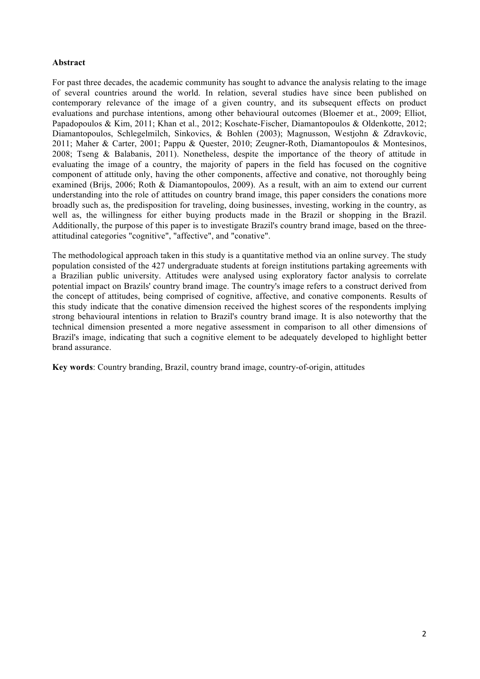## **Abstract**

For past three decades, the academic community has sought to advance the analysis relating to the image of several countries around the world. In relation, several studies have since been published on contemporary relevance of the image of a given country, and its subsequent effects on product evaluations and purchase intentions, among other behavioural outcomes (Bloemer et at., 2009; Elliot, Papadopoulos & Kim, 2011; Khan et al., 2012; Koschate-Fischer, Diamantopoulos & Oldenkotte, 2012; Diamantopoulos, Schlegelmilch, Sinkovics, & Bohlen (2003); Magnusson, Westjohn & Zdravkovic, 2011; Maher & Carter, 2001; Pappu & Quester, 2010; Zeugner-Roth, Diamantopoulos & Montesinos, 2008; Tseng & Balabanis, 2011). Nonetheless, despite the importance of the theory of attitude in evaluating the image of a country, the majority of papers in the field has focused on the cognitive component of attitude only, having the other components, affective and conative, not thoroughly being examined (Brijs, 2006; Roth & Diamantopoulos, 2009). As a result, with an aim to extend our current understanding into the role of attitudes on country brand image, this paper considers the conations more broadly such as, the predisposition for traveling, doing businesses, investing, working in the country, as well as, the willingness for either buying products made in the Brazil or shopping in the Brazil. Additionally, the purpose of this paper is to investigate Brazil's country brand image, based on the threeattitudinal categories "cognitive", "affective", and "conative".

The methodological approach taken in this study is a quantitative method via an online survey. The study population consisted of the 427 undergraduate students at foreign institutions partaking agreements with a Brazilian public university. Attitudes were analysed using exploratory factor analysis to correlate potential impact on Brazils' country brand image. The country's image refers to a construct derived from the concept of attitudes, being comprised of cognitive, affective, and conative components. Results of this study indicate that the conative dimension received the highest scores of the respondents implying strong behavioural intentions in relation to Brazil's country brand image. It is also noteworthy that the technical dimension presented a more negative assessment in comparison to all other dimensions of Brazil's image, indicating that such a cognitive element to be adequately developed to highlight better brand assurance.

**Key words**: Country branding, Brazil, country brand image, country-of-origin, attitudes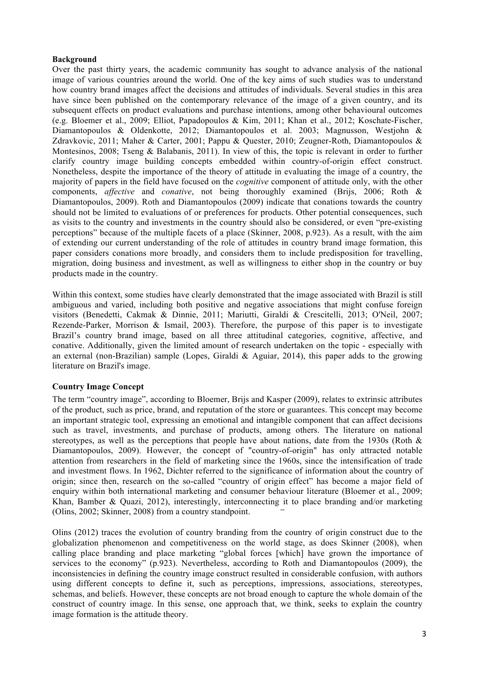## **Background**

Over the past thirty years, the academic community has sought to advance analysis of the national image of various countries around the world. One of the key aims of such studies was to understand how country brand images affect the decisions and attitudes of individuals. Several studies in this area have since been published on the contemporary relevance of the image of a given country, and its subsequent effects on product evaluations and purchase intentions, among other behavioural outcomes (e.g. Bloemer et al., 2009; Elliot, Papadopoulos & Kim, 2011; Khan et al., 2012; Koschate-Fischer, Diamantopoulos & Oldenkotte, 2012; Diamantopoulos et al. 2003; Magnusson, Westjohn & Zdravkovic, 2011; Maher & Carter, 2001; Pappu & Quester, 2010; Zeugner-Roth, Diamantopoulos & Montesinos, 2008; Tseng & Balabanis, 2011). In view of this, the topic is relevant in order to further clarify country image building concepts embedded within country-of-origin effect construct. Nonetheless, despite the importance of the theory of attitude in evaluating the image of a country, the majority of papers in the field have focused on the *cognitive* component of attitude only, with the other components, *affective* and *conative*, not being thoroughly examined (Brijs, 2006; Roth & Diamantopoulos, 2009). Roth and Diamantopoulos (2009) indicate that conations towards the country should not be limited to evaluations of or preferences for products. Other potential consequences, such as visits to the country and investments in the country should also be considered, or even "pre-existing perceptions" because of the multiple facets of a place (Skinner, 2008, p.923). As a result, with the aim of extending our current understanding of the role of attitudes in country brand image formation, this paper considers conations more broadly, and considers them to include predisposition for travelling, migration, doing business and investment, as well as willingness to either shop in the country or buy products made in the country.

Within this context, some studies have clearly demonstrated that the image associated with Brazil is still ambiguous and varied, including both positive and negative associations that might confuse foreign visitors (Benedetti, Cakmak & Dinnie, 2011; Mariutti, Giraldi & Crescitelli, 2013; O'Neil, 2007; Rezende-Parker, Morrison & Ismail, 2003). Therefore, the purpose of this paper is to investigate Brazil's country brand image, based on all three attitudinal categories, cognitive, affective, and conative. Additionally, given the limited amount of research undertaken on the topic - especially with an external (non-Brazilian) sample (Lopes, Giraldi & Aguiar, 2014), this paper adds to the growing literature on Brazil's image.

## **Country Image Concept**

The term "country image", according to Bloemer, Brijs and Kasper (2009), relates to extrinsic attributes of the product, such as price, brand, and reputation of the store or guarantees. This concept may become an important strategic tool, expressing an emotional and intangible component that can affect decisions such as travel, investments, and purchase of products, among others. The literature on national stereotypes, as well as the perceptions that people have about nations, date from the 1930s (Roth & Diamantopoulos, 2009). However, the concept of "country-of-origin" has only attracted notable attention from researchers in the field of marketing since the 1960s, since the intensification of trade and investment flows. In 1962, Dichter referred to the significance of information about the country of origin; since then, research on the so-called "country of origin effect" has become a major field of enquiry within both international marketing and consumer behaviour literature (Bloemer et al., 2009; Khan, Bamber & Quazi, 2012), interestingly, interconnecting it to place branding and/or marketing (Olins, 2002; Skinner, 2008) from a country standpoint.

Olins (2012) traces the evolution of country branding from the country of origin construct due to the globalization phenomenon and competitiveness on the world stage, as does Skinner (2008), when calling place branding and place marketing "global forces [which] have grown the importance of services to the economy" (p.923). Nevertheless, according to Roth and Diamantopoulos (2009), the inconsistencies in defining the country image construct resulted in considerable confusion, with authors using different concepts to define it, such as perceptions, impressions, associations, stereotypes, schemas, and beliefs. However, these concepts are not broad enough to capture the whole domain of the construct of country image. In this sense, one approach that, we think, seeks to explain the country image formation is the attitude theory.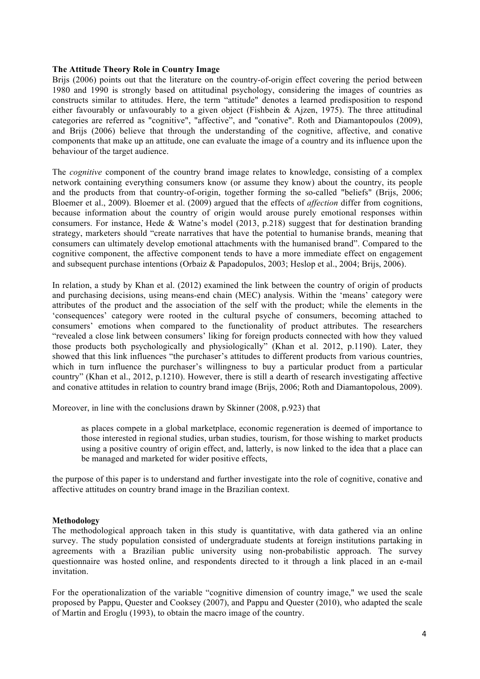#### **The Attitude Theory Role in Country Image**

Brijs (2006) points out that the literature on the country-of-origin effect covering the period between 1980 and 1990 is strongly based on attitudinal psychology, considering the images of countries as constructs similar to attitudes. Here, the term "attitude" denotes a learned predisposition to respond either favourably or unfavourably to a given object (Fishbein & Ajzen, 1975). The three attitudinal categories are referred as "cognitive", "affective", and "conative". Roth and Diamantopoulos (2009), and Brijs (2006) believe that through the understanding of the cognitive, affective, and conative components that make up an attitude, one can evaluate the image of a country and its influence upon the behaviour of the target audience.

The *cognitive* component of the country brand image relates to knowledge, consisting of a complex network containing everything consumers know (or assume they know) about the country, its people and the products from that country-of-origin, together forming the so-called "beliefs" (Brijs, 2006; Bloemer et al., 2009). Bloemer et al. (2009) argued that the effects of *affection* differ from cognitions, because information about the country of origin would arouse purely emotional responses within consumers. For instance, Hede & Watne's model (2013, p.218) suggest that for destination branding strategy, marketers should "create narratives that have the potential to humanise brands, meaning that consumers can ultimately develop emotional attachments with the humanised brand". Compared to the cognitive component, the affective component tends to have a more immediate effect on engagement and subsequent purchase intentions (Orbaiz & Papadopulos, 2003; Heslop et al., 2004; Brijs, 2006).

In relation, a study by Khan et al. (2012) examined the link between the country of origin of products and purchasing decisions, using means-end chain (MEC) analysis. Within the 'means' category were attributes of the product and the association of the self with the product; while the elements in the 'consequences' category were rooted in the cultural psyche of consumers, becoming attached to consumers' emotions when compared to the functionality of product attributes. The researchers "revealed a close link between consumers' liking for foreign products connected with how they valued those products both psychologically and physiologically" (Khan et al. 2012, p.1190). Later, they showed that this link influences "the purchaser's attitudes to different products from various countries, which in turn influence the purchaser's willingness to buy a particular product from a particular country" (Khan et al., 2012, p.1210). However, there is still a dearth of research investigating affective and conative attitudes in relation to country brand image (Brijs, 2006; Roth and Diamantopolous, 2009).

Moreover, in line with the conclusions drawn by Skinner (2008, p.923) that

as places compete in a global marketplace, economic regeneration is deemed of importance to those interested in regional studies, urban studies, tourism, for those wishing to market products using a positive country of origin effect, and, latterly, is now linked to the idea that a place can be managed and marketed for wider positive effects,

the purpose of this paper is to understand and further investigate into the role of cognitive, conative and affective attitudes on country brand image in the Brazilian context.

#### **Methodology**

The methodological approach taken in this study is quantitative, with data gathered via an online survey. The study population consisted of undergraduate students at foreign institutions partaking in agreements with a Brazilian public university using non-probabilistic approach. The survey questionnaire was hosted online, and respondents directed to it through a link placed in an e-mail invitation.

For the operationalization of the variable "cognitive dimension of country image," we used the scale proposed by Pappu, Quester and Cooksey (2007), and Pappu and Quester (2010), who adapted the scale of Martin and Eroglu (1993), to obtain the macro image of the country.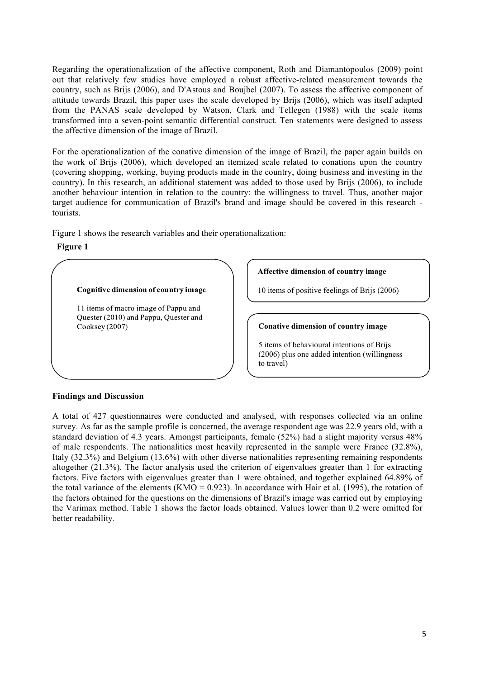Regarding the operationalization of the affective component, Roth and Diamantopoulos (2009) point out that relatively few studies have employed a robust affective-related measurement towards the country, such as Brijs (2006), and D'Astous and Boujbel (2007). To assess the affective component of attitude towards Brazil, this paper uses the scale developed by Brijs (2006), which was itself adapted from the PANAS scale developed by Watson, Clark and Tellegen (1988) with the scale items transformed into a seven-point semantic differential construct. Ten statements were designed to assess the affective dimension of the image of Brazil.

For the operationalization of the conative dimension of the image of Brazil, the paper again builds on the work of Brijs (2006), which developed an itemized scale related to conations upon the country (covering shopping, working, buying products made in the country, doing business and investing in the country). In this research, an additional statement was added to those used by Brijs (2006), to include another behaviour intention in relation to the country: the willingness to travel. Thus, another major target audience for communication of Brazil's brand and image should be covered in this research tourists.

Figure 1 shows the research variables and their operationalization:

**Figure 1**

#### Cognitive dimension of country image

11 items of macro image of Pappu and Quester (2010) and Pappu, Quester and Cooksey (2007)

#### **Affective dimension of country image**

10 items of positive feelings of Brijs (2006)

#### **Conative dimension of country image**

5 items of behavioural intentions of Brijs (2006) plus one added intention (willingness to travel)

## **Findings and Discussion**

A total of 427 questionnaires were conducted and analysed, with responses collected via an online survey. As far as the sample profile is concerned, the average respondent age was 22.9 years old, with a standard deviation of 4.3 years. Amongst participants, female (52%) had a slight majority versus 48% of male respondents. The nationalities most heavily represented in the sample were France (32.8%), Italy (32.3%) and Belgium (13.6%) with other diverse nationalities representing remaining respondents altogether (21.3%). The factor analysis used the criterion of eigenvalues greater than 1 for extracting factors. Five factors with eigenvalues greater than 1 were obtained, and together explained 64.89% of the total variance of the elements (KMO =  $0.923$ ). In accordance with Hair et al. (1995), the rotation of the factors obtained for the questions on the dimensions of Brazil's image was carried out by employing the Varimax method. Table 1 shows the factor loads obtained. Values lower than 0.2 were omitted for better readability.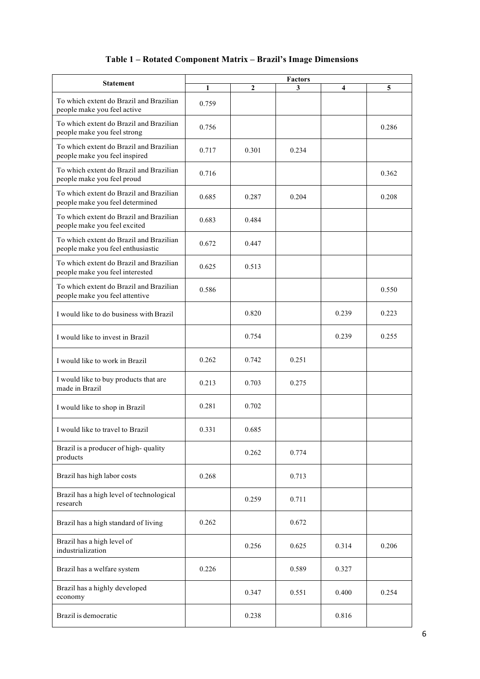# **Table 1 – Rotated Component Matrix – Brazil's Image Dimensions**

| <b>Statement</b>                                                             | <b>Factors</b> |              |       |       |       |  |
|------------------------------------------------------------------------------|----------------|--------------|-------|-------|-------|--|
|                                                                              | 1              | $\mathbf{2}$ | 3     | 4     | 5     |  |
| To which extent do Brazil and Brazilian<br>people make you feel active       | 0.759          |              |       |       |       |  |
| To which extent do Brazil and Brazilian<br>people make you feel strong       | 0.756          |              |       |       | 0.286 |  |
| To which extent do Brazil and Brazilian<br>people make you feel inspired     | 0.717          | 0.301        | 0.234 |       |       |  |
| To which extent do Brazil and Brazilian<br>people make you feel proud        | 0.716          |              |       |       | 0.362 |  |
| To which extent do Brazil and Brazilian<br>people make you feel determined   | 0.685          | 0.287        | 0.204 |       | 0.208 |  |
| To which extent do Brazil and Brazilian<br>people make you feel excited      | 0.683          | 0.484        |       |       |       |  |
| To which extent do Brazil and Brazilian<br>people make you feel enthusiastic | 0.672          | 0.447        |       |       |       |  |
| To which extent do Brazil and Brazilian<br>people make you feel interested   | 0.625          | 0.513        |       |       |       |  |
| To which extent do Brazil and Brazilian<br>people make you feel attentive    | 0.586          |              |       |       | 0.550 |  |
| I would like to do business with Brazil                                      |                | 0.820        |       | 0.239 | 0.223 |  |
| I would like to invest in Brazil                                             |                | 0.754        |       | 0.239 | 0.255 |  |
| I would like to work in Brazil                                               | 0.262          | 0.742        | 0.251 |       |       |  |
| I would like to buy products that are<br>made in Brazil                      | 0.213          | 0.703        | 0.275 |       |       |  |
| I would like to shop in Brazil                                               | 0.281          | 0.702        |       |       |       |  |
| I would like to travel to Brazil                                             | 0.331          | 0.685        |       |       |       |  |
| Brazil is a producer of high-quality<br>products                             |                | 0.262        | 0.774 |       |       |  |
| Brazil has high labor costs                                                  | 0.268          |              | 0.713 |       |       |  |
| Brazil has a high level of technological<br>research                         |                | 0.259        | 0.711 |       |       |  |
| Brazil has a high standard of living                                         | 0.262          |              | 0.672 |       |       |  |
| Brazil has a high level of<br>industrialization                              |                | 0.256        | 0.625 | 0.314 | 0.206 |  |
| Brazil has a welfare system                                                  | 0.226          |              | 0.589 | 0.327 |       |  |
| Brazil has a highly developed<br>economy                                     |                | 0.347        | 0.551 | 0.400 | 0.254 |  |
| Brazil is democratic                                                         |                | 0.238        |       | 0.816 |       |  |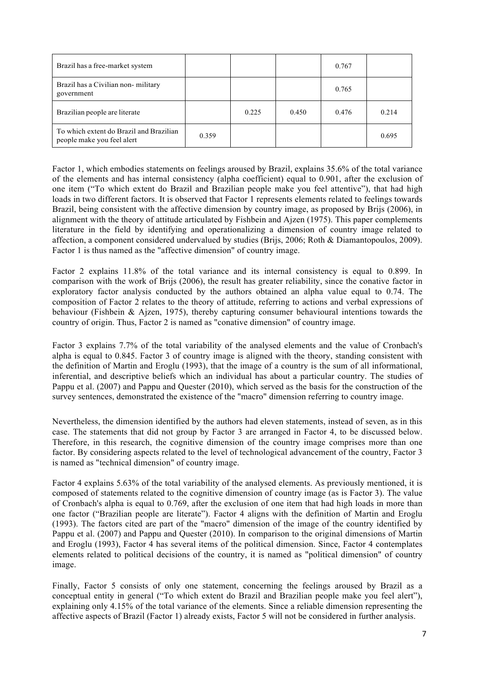| Brazil has a free-market system                                       |       |       |       | 0.767 |       |
|-----------------------------------------------------------------------|-------|-------|-------|-------|-------|
| Brazil has a Civilian non-military<br>government                      |       |       |       | 0.765 |       |
| Brazilian people are literate                                         |       | 0.225 | 0.450 | 0.476 | 0.214 |
| To which extent do Brazil and Brazilian<br>people make you feel alert | 0.359 |       |       |       | 0.695 |

Factor 1, which embodies statements on feelings aroused by Brazil, explains 35.6% of the total variance of the elements and has internal consistency (alpha coefficient) equal to 0.901, after the exclusion of one item ("To which extent do Brazil and Brazilian people make you feel attentive"), that had high loads in two different factors. It is observed that Factor 1 represents elements related to feelings towards Brazil, being consistent with the affective dimension by country image, as proposed by Brijs (2006), in alignment with the theory of attitude articulated by Fishbein and Ajzen (1975). This paper complements literature in the field by identifying and operationalizing a dimension of country image related to affection, a component considered undervalued by studies (Brijs, 2006; Roth & Diamantopoulos, 2009). Factor 1 is thus named as the "affective dimension" of country image.

Factor 2 explains 11.8% of the total variance and its internal consistency is equal to 0.899. In comparison with the work of Brijs (2006), the result has greater reliability, since the conative factor in exploratory factor analysis conducted by the authors obtained an alpha value equal to 0.74. The composition of Factor 2 relates to the theory of attitude, referring to actions and verbal expressions of behaviour (Fishbein & Ajzen, 1975), thereby capturing consumer behavioural intentions towards the country of origin. Thus, Factor 2 is named as "conative dimension" of country image.

Factor 3 explains 7.7% of the total variability of the analysed elements and the value of Cronbach's alpha is equal to 0.845. Factor 3 of country image is aligned with the theory, standing consistent with the definition of Martin and Eroglu (1993), that the image of a country is the sum of all informational, inferential, and descriptive beliefs which an individual has about a particular country. The studies of Pappu et al. (2007) and Pappu and Quester (2010), which served as the basis for the construction of the survey sentences, demonstrated the existence of the "macro" dimension referring to country image.

Nevertheless, the dimension identified by the authors had eleven statements, instead of seven, as in this case. The statements that did not group by Factor 3 are arranged in Factor 4, to be discussed below. Therefore, in this research, the cognitive dimension of the country image comprises more than one factor. By considering aspects related to the level of technological advancement of the country, Factor 3 is named as "technical dimension" of country image.

Factor 4 explains 5.63% of the total variability of the analysed elements. As previously mentioned, it is composed of statements related to the cognitive dimension of country image (as is Factor 3). The value of Cronbach's alpha is equal to 0.769, after the exclusion of one item that had high loads in more than one factor ("Brazilian people are literate"). Factor 4 aligns with the definition of Martin and Eroglu (1993). The factors cited are part of the "macro" dimension of the image of the country identified by Pappu et al. (2007) and Pappu and Quester (2010). In comparison to the original dimensions of Martin and Eroglu (1993), Factor 4 has several items of the political dimension. Since, Factor 4 contemplates elements related to political decisions of the country, it is named as "political dimension" of country image.

Finally, Factor 5 consists of only one statement, concerning the feelings aroused by Brazil as a conceptual entity in general ("To which extent do Brazil and Brazilian people make you feel alert"), explaining only 4.15% of the total variance of the elements. Since a reliable dimension representing the affective aspects of Brazil (Factor 1) already exists, Factor 5 will not be considered in further analysis.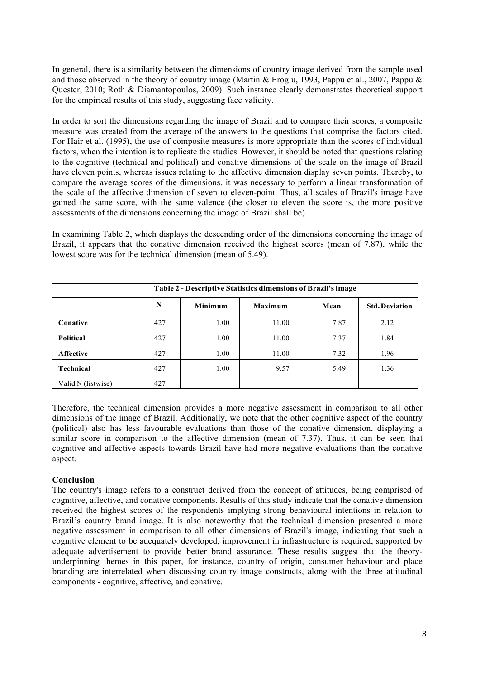In general, there is a similarity between the dimensions of country image derived from the sample used and those observed in the theory of country image (Martin & Eroglu, 1993, Pappu et al., 2007, Pappu & Quester, 2010; Roth & Diamantopoulos, 2009). Such instance clearly demonstrates theoretical support for the empirical results of this study, suggesting face validity.

In order to sort the dimensions regarding the image of Brazil and to compare their scores, a composite measure was created from the average of the answers to the questions that comprise the factors cited. For Hair et al. (1995), the use of composite measures is more appropriate than the scores of individual factors, when the intention is to replicate the studies. However, it should be noted that questions relating to the cognitive (technical and political) and conative dimensions of the scale on the image of Brazil have eleven points, whereas issues relating to the affective dimension display seven points. Thereby, to compare the average scores of the dimensions, it was necessary to perform a linear transformation of the scale of the affective dimension of seven to eleven-point. Thus, all scales of Brazil's image have gained the same score, with the same valence (the closer to eleven the score is, the more positive assessments of the dimensions concerning the image of Brazil shall be).

In examining Table 2, which displays the descending order of the dimensions concerning the image of Brazil, it appears that the conative dimension received the highest scores (mean of 7.87), while the lowest score was for the technical dimension (mean of 5.49).

| Table 2 - Descriptive Statistics dimensions of Brazil's image |     |         |         |      |                       |  |  |  |
|---------------------------------------------------------------|-----|---------|---------|------|-----------------------|--|--|--|
|                                                               | N   | Minimum | Maximum | Mean | <b>Std. Deviation</b> |  |  |  |
| Conative                                                      | 427 | 1.00    | 11.00   | 7.87 | 2.12                  |  |  |  |
| Political                                                     | 427 | 1.00    | 11.00   | 7.37 | 1.84                  |  |  |  |
| Affective                                                     | 427 | 1.00    | 11.00   | 7.32 | 1.96                  |  |  |  |
| <b>Technical</b>                                              | 427 | 1.00    | 9.57    | 5.49 | 1.36                  |  |  |  |
| Valid N (listwise)                                            | 427 |         |         |      |                       |  |  |  |

Therefore, the technical dimension provides a more negative assessment in comparison to all other dimensions of the image of Brazil. Additionally, we note that the other cognitive aspect of the country (political) also has less favourable evaluations than those of the conative dimension, displaying a similar score in comparison to the affective dimension (mean of 7.37). Thus, it can be seen that cognitive and affective aspects towards Brazil have had more negative evaluations than the conative aspect.

## **Conclusion**

The country's image refers to a construct derived from the concept of attitudes, being comprised of cognitive, affective, and conative components. Results of this study indicate that the conative dimension received the highest scores of the respondents implying strong behavioural intentions in relation to Brazil's country brand image. It is also noteworthy that the technical dimension presented a more negative assessment in comparison to all other dimensions of Brazil's image, indicating that such a cognitive element to be adequately developed, improvement in infrastructure is required, supported by adequate advertisement to provide better brand assurance. These results suggest that the theoryunderpinning themes in this paper, for instance, country of origin, consumer behaviour and place branding are interrelated when discussing country image constructs, along with the three attitudinal components - cognitive, affective, and conative.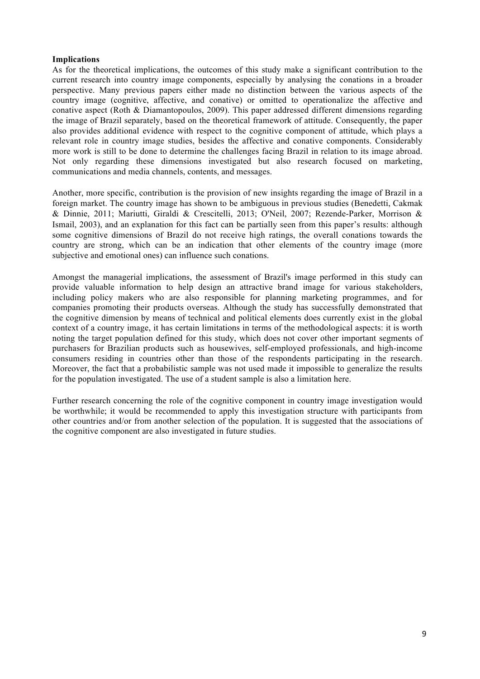#### **Implications**

As for the theoretical implications, the outcomes of this study make a significant contribution to the current research into country image components, especially by analysing the conations in a broader perspective. Many previous papers either made no distinction between the various aspects of the country image (cognitive, affective, and conative) or omitted to operationalize the affective and conative aspect (Roth & Diamantopoulos, 2009). This paper addressed different dimensions regarding the image of Brazil separately, based on the theoretical framework of attitude. Consequently, the paper also provides additional evidence with respect to the cognitive component of attitude, which plays a relevant role in country image studies, besides the affective and conative components. Considerably more work is still to be done to determine the challenges facing Brazil in relation to its image abroad. Not only regarding these dimensions investigated but also research focused on marketing, communications and media channels, contents, and messages.

Another, more specific, contribution is the provision of new insights regarding the image of Brazil in a foreign market. The country image has shown to be ambiguous in previous studies (Benedetti, Cakmak & Dinnie, 2011; Mariutti, Giraldi & Crescitelli, 2013; O'Neil, 2007; Rezende-Parker, Morrison & Ismail, 2003), and an explanation for this fact can be partially seen from this paper's results: although some cognitive dimensions of Brazil do not receive high ratings, the overall conations towards the country are strong, which can be an indication that other elements of the country image (more subjective and emotional ones) can influence such conations.

Amongst the managerial implications, the assessment of Brazil's image performed in this study can provide valuable information to help design an attractive brand image for various stakeholders, including policy makers who are also responsible for planning marketing programmes, and for companies promoting their products overseas. Although the study has successfully demonstrated that the cognitive dimension by means of technical and political elements does currently exist in the global context of a country image, it has certain limitations in terms of the methodological aspects: it is worth noting the target population defined for this study, which does not cover other important segments of purchasers for Brazilian products such as housewives, self-employed professionals, and high-income consumers residing in countries other than those of the respondents participating in the research. Moreover, the fact that a probabilistic sample was not used made it impossible to generalize the results for the population investigated. The use of a student sample is also a limitation here.

Further research concerning the role of the cognitive component in country image investigation would be worthwhile; it would be recommended to apply this investigation structure with participants from other countries and/or from another selection of the population. It is suggested that the associations of the cognitive component are also investigated in future studies.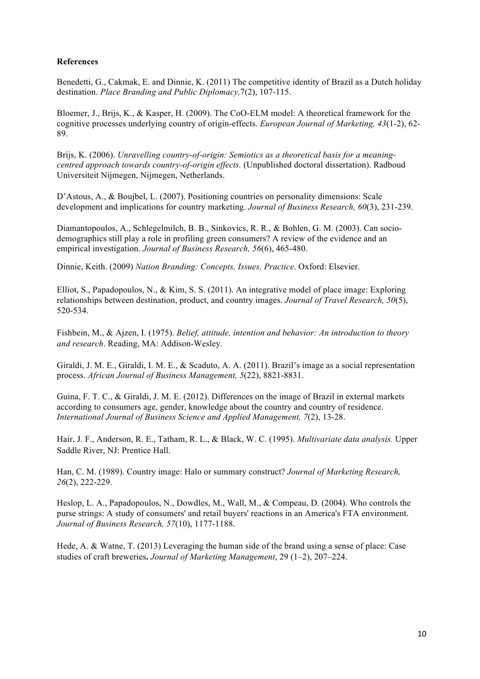## **References**

Benedetti, G., Cakmak, E. and Dinnie, K. (2011) The competitive identity of Brazil as a Dutch holiday destination. *Place Branding and Public Diplomacy,*7(2), 107-115.

Bloemer, J., Brijs, K., & Kasper, H. (2009). The CoO-ELM model: A theoretical framework for the cognitive processes underlying country of origin-effects. *European Journal of Marketing, 43*(1-2), 62- 89.

Brijs, K. (2006). *Unravelling country-of-origin: Semiotics as a theoretical basis for a meaningcentred approach towards country-of-origin effects.* (Unpublished doctoral dissertation). Radboud Universiteit Nijmegen, Nijmegen, Netherlands.

D'Astous, A., & Boujbel, L. (2007). Positioning countries on personality dimensions: Scale development and implications for country marketing. *Journal of Business Research, 60*(3), 231-239.

Diamantopoulos, A., Schlegelmilch, B. B., Sinkovics, R. R., & Bohlen, G. M. (2003). Can sociodemographics still play a role in profiling green consumers? A review of the evidence and an empirical investigation. *Journal of Business Research, 56*(6), 465-480.

Dinnie, Keith. (2009) *Nation Branding: Concepts, Issues, Practice*. Oxford: Elsevier.

Elliot, S., Papadopoulos, N., & Kim, S. S. (2011). An integrative model of place image: Exploring relationships between destination, product, and country images. *Journal of Travel Research, 50*(5), 520-534.

Fishbein, M., & Ajzen, I. (1975). *Belief, attitude, intention and behavior: An introduction to theory and research*. Reading, MA: Addison-Wesley.

Giraldi, J. M. E., Giraldi, I. M. E., & Scaduto, A. A. (2011). Brazil's image as a social representation process. *African Journal of Business Management, 5*(22), 8821-8831.

Guina, F. T. C., & Giraldi, J. M. E. (2012). Differences on the image of Brazil in external markets according to consumers age, gender, knowledge about the country and country of residence. *International Journal of Business Science and Applied Management, 7*(2), 13-28.

Hair, J. F., Anderson, R. E., Tatham, R. L., & Black, W. C. (1995). *Multivariate data analysis.* Upper Saddle River, NJ: Prentice Hall.

Han, C. M. (1989). Country image: Halo or summary construct? *Journal of Marketing Research, 26*(2), 222-229.

Heslop, L. A., Papadopoulos, N., Dowdles, M., Wall, M., & Compeau, D. (2004). Who controls the purse strings: A study of consumers' and retail buyers' reactions in an America's FTA environment. *Journal of Business Research, 57*(10), 1177-1188.

Hede, A. & Watne, T. (2013) Leveraging the human side of the brand using a sense of place: Case studies of craft breweries**.** *Journal of Marketing Management*, 29 (1–2), 207–224.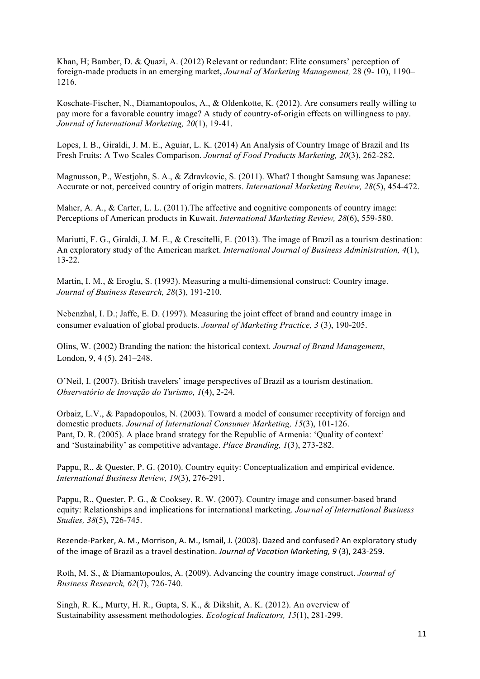Khan, H; Bamber, D. & Quazi, A. (2012) Relevant or redundant: Elite consumers' perception of foreign-made products in an emerging market**,** *Journal of Marketing Management,* 28 (9- 10), 1190– 1216.

Koschate-Fischer, N., Diamantopoulos, A., & Oldenkotte, K. (2012). Are consumers really willing to pay more for a favorable country image? A study of country-of-origin effects on willingness to pay. *Journal of International Marketing, 20*(1), 19-41.

Lopes, I. B., Giraldi, J. M. E., Aguiar, L. K. (2014) An Analysis of Country Image of Brazil and Its Fresh Fruits: A Two Scales Comparison. *Journal of Food Products Marketing, 20*(3), 262-282.

Magnusson, P., Westjohn, S. A., & Zdravkovic, S. (2011). What? I thought Samsung was Japanese: Accurate or not, perceived country of origin matters. *International Marketing Review, 28*(5), 454-472.

Maher, A. A., & Carter, L. L. (2011). The affective and cognitive components of country image: Perceptions of American products in Kuwait. *International Marketing Review, 28*(6), 559-580.

Mariutti, F. G., Giraldi, J. M. E., & Crescitelli, E. (2013). The image of Brazil as a tourism destination: An exploratory study of the American market. *International Journal of Business Administration, 4*(1), 13-22.

Martin, I. M., & Eroglu, S. (1993). Measuring a multi-dimensional construct: Country image. *Journal of Business Research, 28*(3), 191-210.

Nebenzhal, I. D.; Jaffe, E. D. (1997). Measuring the joint effect of brand and country image in consumer evaluation of global products. *Journal of Marketing Practice, 3* (3), 190-205.

Olins, W. (2002) Branding the nation: the historical context. *Journal of Brand Management*, London, 9, 4 (5), 241–248.

O'Neil, I. (2007). British travelers' image perspectives of Brazil as a tourism destination. *Observatório de Inovação do Turismo, 1*(4), 2-24.

Orbaiz, L.V., & Papadopoulos, N. (2003). Toward a model of consumer receptivity of foreign and domestic products. *Journal of International Consumer Marketing, 15*(3), 101-126. Pant, D. R. (2005). A place brand strategy for the Republic of Armenia: 'Quality of context' and 'Sustainability' as competitive advantage. *Place Branding, 1*(3), 273-282.

Pappu, R., & Quester, P. G. (2010). Country equity: Conceptualization and empirical evidence. *International Business Review, 19*(3), 276-291.

Pappu, R., Quester, P. G., & Cooksey, R. W. (2007). Country image and consumer-based brand equity: Relationships and implications for international marketing. *Journal of International Business Studies, 38*(5), 726-745.

Rezende-Parker, A. M., Morrison, A. M., Ismail, J. (2003). Dazed and confused? An exploratory study of the image of Brazil as a travel destination. *Journal of Vacation Marketing, 9* (3), 243-259.

Roth, M. S., & Diamantopoulos, A. (2009). Advancing the country image construct. *Journal of Business Research, 62*(7), 726-740.

Singh, R. K., Murty, H. R., Gupta, S. K., & Dikshit, A. K. (2012). An overview of Sustainability assessment methodologies. *Ecological Indicators, 15*(1), 281-299.